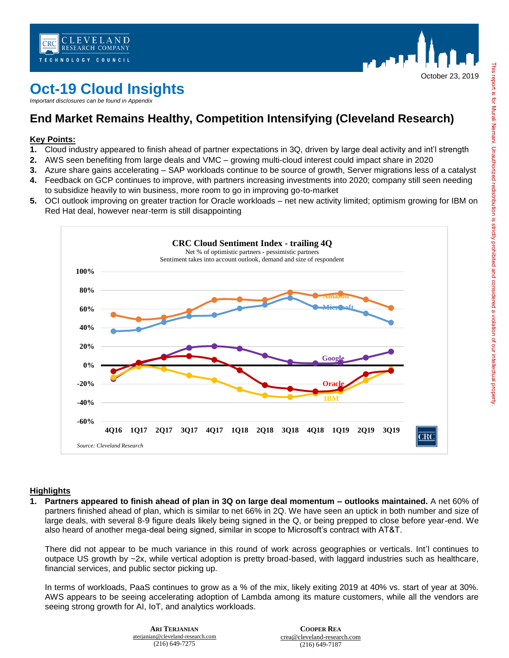



# **Oct-19 Cloud Insights**

*Important disclosures can be found in Appendix* 

## **End Market Remains Healthy, Competition Intensifying (Cleveland Research)**

### **Key Points:**

- **1.** Cloud industry appeared to finish ahead of partner expectations in 3Q, driven by large deal activity and int'l strength
- **2.** AWS seen benefiting from large deals and VMC growing multi-cloud interest could impact share in 2020
- **3.** Azure share gains accelerating SAP workloads continue to be source of growth, Server migrations less of a catalyst
- **4.** Feedback on GCP continues to improve, with partners increasing investments into 2020; company still seen needing to subsidize heavily to win business, more room to go in improving go-to-market
- **5.** OCI outlook improving on greater traction for Oracle workloads net new activity limited; optimism growing for IBM on Red Hat deal, however near-term is still disappointing



#### **Highlights**

**1. Partners appeared to finish ahead of plan in 3Q on large deal momentum – outlooks maintained.** A net 60% of partners finished ahead of plan, which is similar to net 66% in 2Q. We have seen an uptick in both number and size of large deals, with several 8-9 figure deals likely being signed in the Q, or being prepped to close before year-end. We also heard of another mega-deal being signed, similar in scope to Microsoft's contract with AT&T.

There did not appear to be much variance in this round of work across geographies or verticals. Int'l continues to outpace US growth by ~2x, while vertical adoption is pretty broad-based, with laggard industries such as healthcare, financial services, and public sector picking up.

In terms of workloads, PaaS continues to grow as a % of the mix, likely exiting 2019 at 40% vs. start of year at 30%. AWS appears to be seeing accelerating adoption of Lambda among its mature customers, while all the vendors are seeing strong growth for AI, IoT, and analytics workloads.

| NIAN                  | <b>COOPER REA</b>           |
|-----------------------|-----------------------------|
| -research.com<br>7275 | crea@cleveland-research.com |
|                       | $(216)$ 649-7187            |

**ARI TERJA** aterianian@cleveland- $(216)$  649-7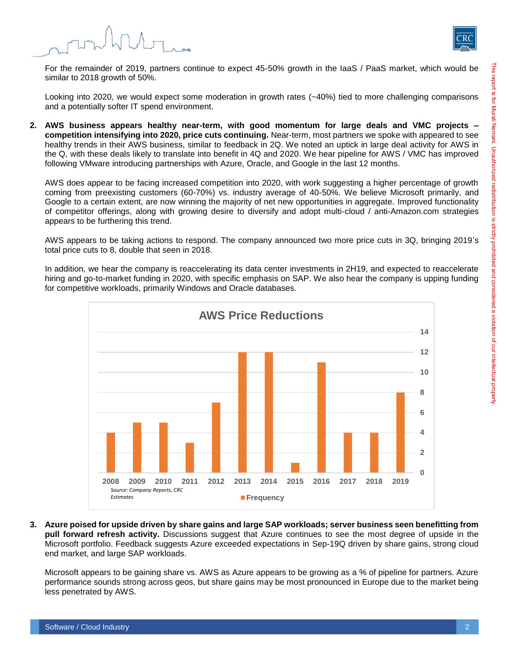



For the remainder of 2019, partners continue to expect 45-50% growth in the IaaS / PaaS market, which would be similar to 2018 growth of 50%.

Looking into 2020, we would expect some moderation in growth rates (~40%) tied to more challenging comparisons and a potentially softer IT spend environment.

**2. AWS business appears healthy near-term, with good momentum for large deals and VMC projects – competition intensifying into 2020, price cuts continuing.** Near-term, most partners we spoke with appeared to see healthy trends in their AWS business, similar to feedback in 2Q. We noted an uptick in large deal activity for AWS in the Q, with these deals likely to translate into benefit in 4Q and 2020. We hear pipeline for AWS / VMC has improved following VMware introducing partnerships with Azure, Oracle, and Google in the last 12 months.

AWS does appear to be facing increased competition into 2020, with work suggesting a higher percentage of growth coming from preexisting customers (60-70%) vs. industry average of 40-50%. We believe Microsoft primarily, and Google to a certain extent, are now winning the majority of net new opportunities in aggregate. Improved functionality of competitor offerings, along with growing desire to diversify and adopt multi-cloud / anti-Amazon.com strategies appears to be furthering this trend.

AWS appears to be taking actions to respond. The company announced two more price cuts in 3Q, bringing 2019's total price cuts to 8, double that seen in 2018.

In addition, we hear the company is reaccelerating its data center investments in 2H19, and expected to reaccelerate hiring and go-to-market funding in 2020, with specific emphasis on SAP. We also hear the company is upping funding for competitive workloads, primarily Windows and Oracle databases.



**3. Azure poised for upside driven by share gains and large SAP workloads; server business seen benefitting from pull forward refresh activity.** Discussions suggest that Azure continues to see the most degree of upside in the Microsoft portfolio. Feedback suggests Azure exceeded expectations in Sep-19Q driven by share gains, strong cloud end market, and large SAP workloads.

Microsoft appears to be gaining share vs. AWS as Azure appears to be growing as a % of pipeline for partners. Azure performance sounds strong across geos, but share gains may be most pronounced in Europe due to the market being less penetrated by AWS.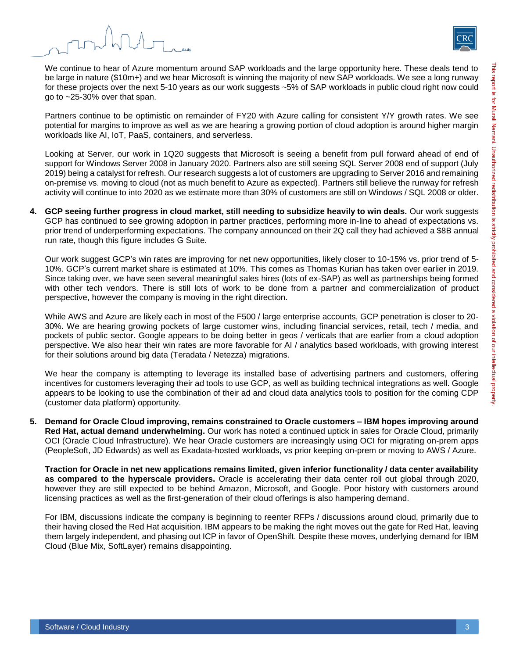



We continue to hear of Azure momentum around SAP workloads and the large opportunity here. These deals tend to be large in nature (\$10m+) and we hear Microsoft is winning the majority of new SAP workloads. We see a long runway for these projects over the next 5-10 years as our work suggests ~5% of SAP workloads in public cloud right now could go to ~25-30% over that span.

Partners continue to be optimistic on remainder of FY20 with Azure calling for consistent Y/Y growth rates. We see potential for margins to improve as well as we are hearing a growing portion of cloud adoption is around higher margin workloads like AI, IoT, PaaS, containers, and serverless.

Looking at Server, our work in 1Q20 suggests that Microsoft is seeing a benefit from pull forward ahead of end of support for Windows Server 2008 in January 2020. Partners also are still seeing SQL Server 2008 end of support (July 2019) being a catalyst for refresh. Our research suggests a lot of customers are upgrading to Server 2016 and remaining on-premise vs. moving to cloud (not as much benefit to Azure as expected). Partners still believe the runway for refresh activity will continue to into 2020 as we estimate more than 30% of customers are still on Windows / SQL 2008 or older.

**4. GCP seeing further progress in cloud market, still needing to subsidize heavily to win deals.** Our work suggests GCP has continued to see growing adoption in partner practices, performing more in-line to ahead of expectations vs. prior trend of underperforming expectations. The company announced on their 2Q call they had achieved a \$8B annual run rate, though this figure includes G Suite.

Our work suggest GCP's win rates are improving for net new opportunities, likely closer to 10-15% vs. prior trend of 5- 10%. GCP's current market share is estimated at 10%. This comes as Thomas Kurian has taken over earlier in 2019. Since taking over, we have seen several meaningful sales hires (lots of ex-SAP) as well as partnerships being formed with other tech vendors. There is still lots of work to be done from a partner and commercialization of product perspective, however the company is moving in the right direction.

While AWS and Azure are likely each in most of the F500 / large enterprise accounts, GCP penetration is closer to 20- 30%. We are hearing growing pockets of large customer wins, including financial services, retail, tech / media, and pockets of public sector. Google appears to be doing better in geos / verticals that are earlier from a cloud adoption perspective. We also hear their win rates are more favorable for AI / analytics based workloads, with growing interest for their solutions around big data (Teradata / Netezza) migrations.

We hear the company is attempting to leverage its installed base of advertising partners and customers, offering incentives for customers leveraging their ad tools to use GCP, as well as building technical integrations as well. Google appears to be looking to use the combination of their ad and cloud data analytics tools to position for the coming CDP (customer data platform) opportunity.

**5. Demand for Oracle Cloud improving, remains constrained to Oracle customers – IBM hopes improving around Red Hat, actual demand underwhelming.** Our work has noted a continued uptick in sales for Oracle Cloud, primarily OCI (Oracle Cloud Infrastructure). We hear Oracle customers are increasingly using OCI for migrating on-prem apps (PeopleSoft, JD Edwards) as well as Exadata-hosted workloads, vs prior keeping on-prem or moving to AWS / Azure.

**Traction for Oracle in net new applications remains limited, given inferior functionality / data center availability as compared to the hyperscale providers.** Oracle is accelerating their data center roll out global through 2020, however they are still expected to be behind Amazon, Microsoft, and Google. Poor history with customers around licensing practices as well as the first-generation of their cloud offerings is also hampering demand.

For IBM, discussions indicate the company is beginning to reenter RFPs / discussions around cloud, primarily due to their having closed the Red Hat acquisition. IBM appears to be making the right moves out the gate for Red Hat, leaving them largely independent, and phasing out ICP in favor of OpenShift. Despite these moves, underlying demand for IBM Cloud (Blue Mix, SoftLayer) remains disappointing.